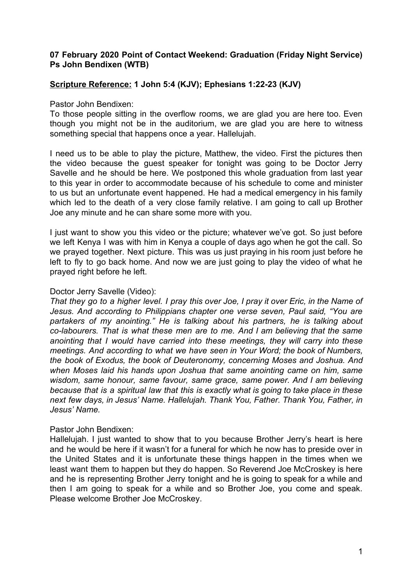## **07 February 2020 Point of Contact Weekend: Graduation (Friday Night Service) Ps John Bendixen (WTB)**

# **Scripture Reference: 1 John 5:4 (KJV); Ephesians 1:22-23 (KJV)**

Pastor John Bendixen:

To those people sitting in the overflow rooms, we are glad you are here too. Even though you might not be in the auditorium, we are glad you are here to witness something special that happens once a year. Hallelujah.

I need us to be able to play the picture, Matthew, the video. First the pictures then the video because the guest speaker for tonight was going to be Doctor Jerry Savelle and he should be here. We postponed this whole graduation from last year to this year in order to accommodate because of his schedule to come and minister to us but an unfortunate event happened. He had a medical emergency in his family which led to the death of a very close family relative. I am going to call up Brother Joe any minute and he can share some more with you.

I just want to show you this video or the picture; whatever we've got. So just before we left Kenya I was with him in Kenya a couple of days ago when he got the call. So we prayed together. Next picture. This was us just praying in his room just before he left to fly to go back home. And now we are just going to play the video of what he prayed right before he left.

#### Doctor Jerry Savelle (Video):

That they go to a higher level. I pray this over Joe, I pray it over Eric, in the Name of *Jesus. And according to Philippians chapter one verse seven, Paul said, "You are partakers of my anointing." He is talking about his partners, he is talking about co-labourers. That is what these men are to me. And I am believing that the same anointing that I would have carried into these meetings, they will carry into these meetings. And according to what we have seen in Your Word; the book of Numbers, the book of Exodus, the book of Deuteronomy, concerning Moses and Joshua. And when Moses laid his hands upon Joshua that same anointing came on him, same wisdom, same honour, same favour, same grace, same power. And I am believing because that is a spiritual law that this is exactly what is going to take place in these next few days, in Jesus' Name. Hallelujah. Thank You, Father. Thank You, Father, in Jesus' Name.*

### Pastor John Bendixen:

Hallelujah. I just wanted to show that to you because Brother Jerry's heart is here and he would be here if it wasn't for a funeral for which he now has to preside over in the United States and it is unfortunate these things happen in the times when we least want them to happen but they do happen. So Reverend Joe McCroskey is here and he is representing Brother Jerry tonight and he is going to speak for a while and then I am going to speak for a while and so Brother Joe, you come and speak. Please welcome Brother Joe McCroskey.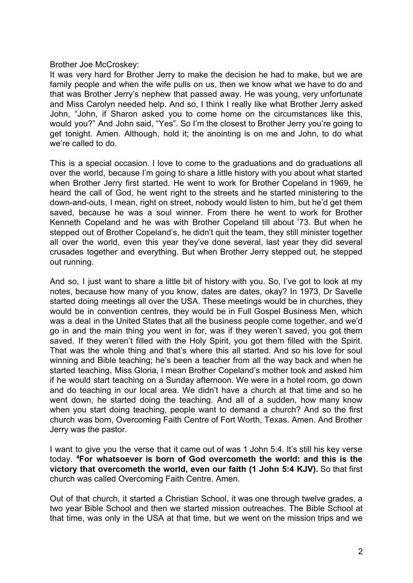### Brother Joe McCroskey:

It was very hard for Brother Jerry to make the decision he had to make, but we are family people and when the wife pulls on us, then we know what we have to do and that was Brother Jerry's nephew that passed away. He was young, very unfortunate and Miss Carolyn needed help. And so, I think I really like what Brother Jerry asked John, "John, if Sharon asked you to come home on the circumstances like this, would you?" And John said, "Yes". So I'm the closest to Brother Jerry you're going to get tonight. Amen. Although, hold it; the anointing is on me and John, to do what we're called to do.

This is a special occasion. I love to come to the graduations and do graduations all over the world, because I'm going to share a little history with you about what started when Brother Jerry first started. He went to work for Brother Copeland in 1969, he heard the call of God, he went right to the streets and he started ministering to the down-and-outs, I mean, right on street, nobody would listen to him, but he'd get them saved, because he was a soul winner. From there he went to work for Brother Kenneth Copeland and he was with Brother Copeland till about '73. But when he stepped out of Brother Copeland's, he didn't quit the team, they still minister together all over the world, even this year they've done several, last year they did several crusades together and everything. But when Brother Jerry stepped out, he stepped out running.

And so, I just want to share a little bit of history with you. So, I've got to look at my notes, because how many of you know, dates are dates, okay? In 1973, Dr Savelle started doing meetings all over the USA. These meetings would be in churches, they would be in convention centres, they would be in Full Gospel Business Men, which was a deal in the United States that all the business people come together, and we'd go in and the main thing you went in for, was if they weren't saved, you got them saved. If they weren't filled with the Holy Spirit, you got them filled with the Spirit. That was the whole thing and that's where this all started. And so his love for soul winning and Bible teaching; he's been a teacher from all the way back and when he started teaching, Miss Gloria, I mean Brother Copeland's mother took and asked him if he would start teaching on a Sunday afternoon. We were in a hotel room, go down and do teaching in our local area. We didn't have a church at that time and so he went down, he started doing the teaching. And all of a sudden, how many know when you start doing teaching, people want to demand a church? And so the first church was born, Overcoming Faith Centre of Fort Worth, Texas. Amen. And Brother Jerry was the pastor.

I want to give you the verse that it came out of was 1 John 5:4. It's still his key verse today. **<sup>4</sup>For whatsoever is born of God overcometh the world: and this is the victory that overcometh the world, even our faith (1 John 5:4 KJV).** So that first church was called Overcoming Faith Centre. Amen.

Out of that church, it started a Christian School, it was one through twelve grades, a two year Bible School and then we started mission outreaches. The Bible School at that time, was only in the USA at that time, but we went on the mission trips and we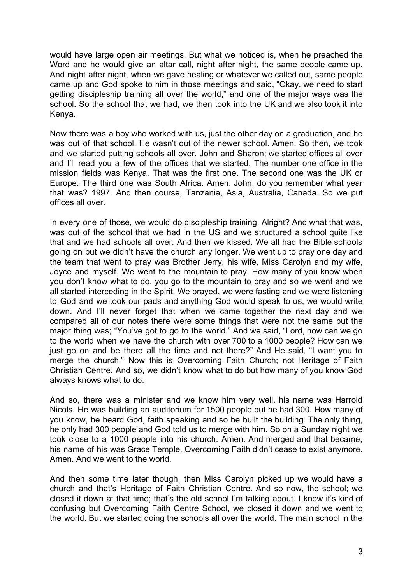would have large open air meetings. But what we noticed is, when he preached the Word and he would give an altar call, night after night, the same people came up. And night after night, when we gave healing or whatever we called out, same people came up and God spoke to him in those meetings and said, "Okay, we need to start getting discipleship training all over the world," and one of the major ways was the school. So the school that we had, we then took into the UK and we also took it into Kenya.

Now there was a boy who worked with us, just the other day on a graduation, and he was out of that school. He wasn't out of the newer school. Amen. So then, we took and we started putting schools all over. John and Sharon; we started offices all over and I'll read you a few of the offices that we started. The number one office in the mission fields was Kenya. That was the first one. The second one was the UK or Europe. The third one was South Africa. Amen. John, do you remember what year that was? 1997. And then course, Tanzania, Asia, Australia, Canada. So we put offices all over.

In every one of those, we would do discipleship training. Alright? And what that was, was out of the school that we had in the US and we structured a school quite like that and we had schools all over. And then we kissed. We all had the Bible schools going on but we didn't have the church any longer. We went up to pray one day and the team that went to pray was Brother Jerry, his wife, Miss Carolyn and my wife, Joyce and myself. We went to the mountain to pray. How many of you know when you don't know what to do, you go to the mountain to pray and so we went and we all started interceding in the Spirit. We prayed, we were fasting and we were listening to God and we took our pads and anything God would speak to us, we would write down. And I'll never forget that when we came together the next day and we compared all of our notes there were some things that were not the same but the major thing was; "You've got to go to the world." And we said, "Lord, how can we go to the world when we have the church with over 700 to a 1000 people? How can we just go on and be there all the time and not there?" And He said, "I want you to merge the church." Now this is Overcoming Faith Church; not Heritage of Faith Christian Centre. And so, we didn't know what to do but how many of you know God always knows what to do.

And so, there was a minister and we know him very well, his name was Harrold Nicols. He was building an auditorium for 1500 people but he had 300. How many of you know, he heard God, faith speaking and so he built the building. The only thing, he only had 300 people and God told us to merge with him. So on a Sunday night we took close to a 1000 people into his church. Amen. And merged and that became, his name of his was Grace Temple. Overcoming Faith didn't cease to exist anymore. Amen. And we went to the world.

And then some time later though, then Miss Carolyn picked up we would have a church and that's Heritage of Faith Christian Centre. And so now, the school; we closed it down at that time; that's the old school I'm talking about. I know it's kind of confusing but Overcoming Faith Centre School, we closed it down and we went to the world. But we started doing the schools all over the world. The main school in the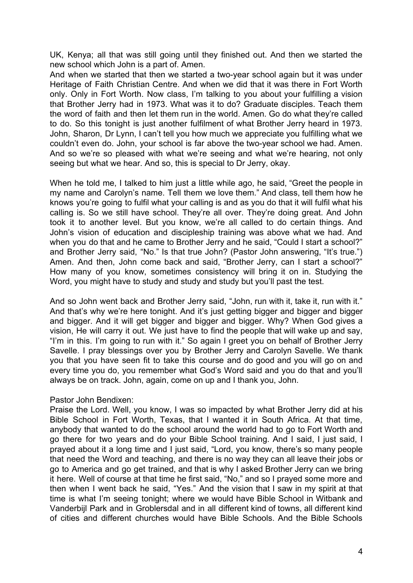UK, Kenya; all that was still going until they finished out. And then we started the new school which John is a part of. Amen.

And when we started that then we started a two-year school again but it was under Heritage of Faith Christian Centre. And when we did that it was there in Fort Worth only. Only in Fort Worth. Now class, I'm talking to you about your fulfilling a vision that Brother Jerry had in 1973. What was it to do? Graduate disciples. Teach them the word of faith and then let them run in the world. Amen. Go do what they're called to do. So this tonight is just another fulfilment of what Brother Jerry heard in 1973. John, Sharon, Dr Lynn, I can't tell you how much we appreciate you fulfilling what we couldn't even do. John, your school is far above the two-year school we had. Amen. And so we're so pleased with what we're seeing and what we're hearing, not only seeing but what we hear. And so, this is special to Dr Jerry, okay.

When he told me, I talked to him just a little while ago, he said, "Greet the people in my name and Carolyn's name. Tell them we love them." And class, tell them how he knows you're going to fulfil what your calling is and as you do that it will fulfil what his calling is. So we still have school. They're all over. They're doing great. And John took it to another level. But you know, we're all called to do certain things. And John's vision of education and discipleship training was above what we had. And when you do that and he came to Brother Jerry and he said, "Could I start a school?" and Brother Jerry said, "No." Is that true John? (Pastor John answering, "It's true.") Amen. And then, John come back and said, "Brother Jerry, can I start a school?" How many of you know, sometimes consistency will bring it on in. Studying the Word, you might have to study and study and study but you'll past the test.

And so John went back and Brother Jerry said, "John, run with it, take it, run with it." And that's why we're here tonight. And it's just getting bigger and bigger and bigger and bigger. And it will get bigger and bigger and bigger. Why? When God gives a vision, He will carry it out. We just have to find the people that will wake up and say, "I'm in this. I'm going to run with it." So again I greet you on behalf of Brother Jerry Savelle. I pray blessings over you by Brother Jerry and Carolyn Savelle. We thank you that you have seen fit to take this course and do good and you will go on and every time you do, you remember what God's Word said and you do that and you'll always be on track. John, again, come on up and I thank you, John.

Pastor John Bendixen:

Praise the Lord. Well, you know, I was so impacted by what Brother Jerry did at his Bible School in Fort Worth, Texas, that I wanted it in South Africa. At that time, anybody that wanted to do the school around the world had to go to Fort Worth and go there for two years and do your Bible School training. And I said, I just said, I prayed about it a long time and I just said, "Lord, you know, there's so many people that need the Word and teaching, and there is no way they can all leave their jobs or go to America and go get trained, and that is why I asked Brother Jerry can we bring it here. Well of course at that time he first said, "No," and so I prayed some more and then when I went back he said, "Yes." And the vision that I saw in my spirit at that time is what I'm seeing tonight; where we would have Bible School in Witbank and Vanderbijl Park and in Groblersdal and in all different kind of towns, all different kind of cities and different churches would have Bible Schools. And the Bible Schools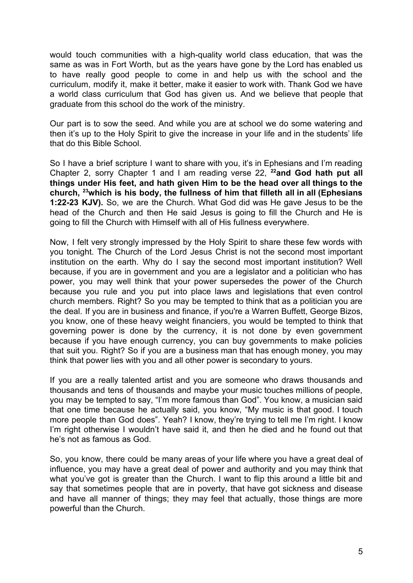would touch communities with a high-quality world class education, that was the same as was in Fort Worth, but as the years have gone by the Lord has enabled us to have really good people to come in and help us with the school and the curriculum, modify it, make it better, make it easier to work with. Thank God we have a world class curriculum that God has given us. And we believe that people that graduate from this school do the work of the ministry.

Our part is to sow the seed. And while you are at school we do some watering and then it's up to the Holy Spirit to give the increase in your life and in the students' life that do this Bible School.

So I have a brief scripture I want to share with you, it's in Ephesians and I'm reading Chapter 2, sorry Chapter 1 and I am reading verse 22, **<sup>22</sup>and God hath put all things under His feet, and hath given Him to be the head over all things to the church, <sup>23</sup>which is his body, the fullness of him that filleth all in all (Ephesians 1:22-23 KJV).** So, we are the Church. What God did was He gave Jesus to be the head of the Church and then He said Jesus is going to fill the Church and He is going to fill the Church with Himself with all of His fullness everywhere.

Now, I felt very strongly impressed by the Holy Spirit to share these few words with you tonight. The Church of the Lord Jesus Christ is not the second most important institution on the earth. Why do I say the second most important institution? Well because, if you are in government and you are a legislator and a politician who has power, you may well think that your power supersedes the power of the Church because you rule and you put into place laws and legislations that even control church members. Right? So you may be tempted to think that as a politician you are the deal. If you are in business and finance, if you're a Warren Buffett, George Bizos, you know, one of these heavy weight financiers, you would be tempted to think that governing power is done by the currency, it is not done by even government because if you have enough currency, you can buy governments to make policies that suit you. Right? So if you are a business man that has enough money, you may think that power lies with you and all other power is secondary to yours.

If you are a really talented artist and you are someone who draws thousands and thousands and tens of thousands and maybe your music touches millions of people, you may be tempted to say, "I'm more famous than God". You know, a musician said that one time because he actually said, you know, "My music is that good. I touch more people than God does". Yeah? I know, they're trying to tell me I'm right. I know I'm right otherwise I wouldn't have said it, and then he died and he found out that he's not as famous as God.

So, you know, there could be many areas of your life where you have a great deal of influence, you may have a great deal of power and authority and you may think that what you've got is greater than the Church. I want to flip this around a little bit and say that sometimes people that are in poverty, that have got sickness and disease and have all manner of things; they may feel that actually, those things are more powerful than the Church.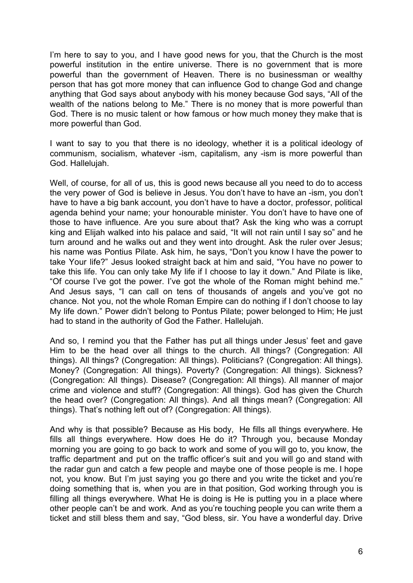I'm here to say to you, and I have good news for you, that the Church is the most powerful institution in the entire universe. There is no government that is more powerful than the government of Heaven. There is no businessman or wealthy person that has got more money that can influence God to change God and change anything that God says about anybody with his money because God says, "All of the wealth of the nations belong to Me." There is no money that is more powerful than God. There is no music talent or how famous or how much money they make that is more powerful than God.

I want to say to you that there is no ideology, whether it is a political ideology of communism, socialism, whatever -ism, capitalism, any -ism is more powerful than God. Hallelujah.

Well, of course, for all of us, this is good news because all you need to do to access the very power of God is believe in Jesus. You don't have to have an -ism, you don't have to have a big bank account, you don't have to have a doctor, professor, political agenda behind your name; your honourable minister. You don't have to have one of those to have influence. Are you sure about that? Ask the king who was a corrupt king and Elijah walked into his palace and said, "It will not rain until I say so" and he turn around and he walks out and they went into drought. Ask the ruler over Jesus; his name was Pontius Pilate. Ask him, he says, "Don't you know I have the power to take Your life?" Jesus looked straight back at him and said, "You have no power to take this life. You can only take My life if I choose to lay it down." And Pilate is like, "Of course I've got the power. I've got the whole of the Roman might behind me." And Jesus says, "I can call on tens of thousands of angels and you've got no chance. Not you, not the whole Roman Empire can do nothing if I don't choose to lay My life down." Power didn't belong to Pontus Pilate; power belonged to Him; He just had to stand in the authority of God the Father. Hallelujah.

And so, I remind you that the Father has put all things under Jesus' feet and gave Him to be the head over all things to the church. All things? (Congregation: All things). All things? (Congregation: All things). Politicians? (Congregation: All things). Money? (Congregation: All things). Poverty? (Congregation: All things). Sickness? (Congregation: All things). Disease? (Congregation: All things). All manner of major crime and violence and stuff? (Congregation: All things). God has given the Church the head over? (Congregation: All things). And all things mean? (Congregation: All things). That's nothing left out of? (Congregation: All things).

And why is that possible? Because as His body, He fills all things everywhere. He fills all things everywhere. How does He do it? Through you, because Monday morning you are going to go back to work and some of you will go to, you know, the traffic department and put on the traffic officer's suit and you will go and stand with the radar gun and catch a few people and maybe one of those people is me. I hope not, you know. But I'm just saying you go there and you write the ticket and you're doing something that is, when you are in that position, God working through you is filling all things everywhere. What He is doing is He is putting you in a place where other people can't be and work. And as you're touching people you can write them a ticket and still bless them and say, "God bless, sir. You have a wonderful day. Drive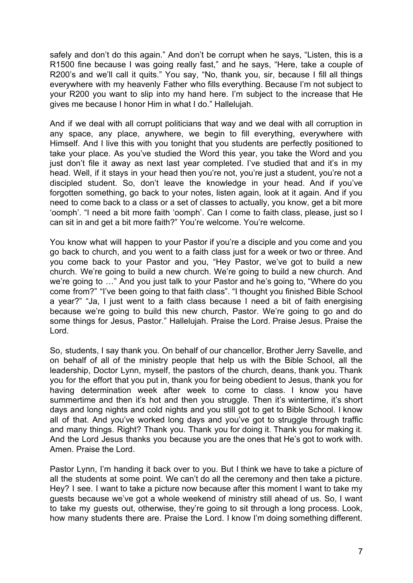safely and don't do this again." And don't be corrupt when he says, "Listen, this is a R1500 fine because I was going really fast," and he says, "Here, take a couple of R200's and we'll call it quits." You say, "No, thank you, sir, because I fill all things everywhere with my heavenly Father who fills everything. Because I'm not subject to your R200 you want to slip into my hand here. I'm subject to the increase that He gives me because I honor Him in what I do." Hallelujah.

And if we deal with all corrupt politicians that way and we deal with all corruption in any space, any place, anywhere, we begin to fill everything, everywhere with Himself. And I live this with you tonight that you students are perfectly positioned to take your place. As you've studied the Word this year, you take the Word and you just don't file it away as next last year completed. I've studied that and it's in my head. Well, if it stays in your head then you're not, you're just a student, you're not a discipled student. So, don't leave the knowledge in your head. And if you've forgotten something, go back to your notes, listen again, look at it again. And if you need to come back to a class or a set of classes to actually, you know, get a bit more 'oomph'. "I need a bit more faith 'oomph'. Can I come to faith class, please, just so I can sit in and get a bit more faith?" You're welcome. You're welcome.

You know what will happen to your Pastor if you're a disciple and you come and you go back to church, and you went to a faith class just for a week or two or three. And you come back to your Pastor and you, "Hey Pastor, we've got to build a new church. We're going to build a new church. We're going to build a new church. And we're going to …" And you just talk to your Pastor and he's going to, "Where do you come from?" "I've been going to that faith class". "I thought you finished Bible School a year?" "Ja, I just went to a faith class because I need a bit of faith energising because we're going to build this new church, Pastor. We're going to go and do some things for Jesus, Pastor." Hallelujah. Praise the Lord. Praise Jesus. Praise the Lord.

So, students, I say thank you. On behalf of our chancellor, Brother Jerry Savelle, and on behalf of all of the ministry people that help us with the Bible School, all the leadership, Doctor Lynn, myself, the pastors of the church, deans, thank you. Thank you for the effort that you put in, thank you for being obedient to Jesus, thank you for having determination week after week to come to class. I know you have summertime and then it's hot and then you struggle. Then it's wintertime, it's short days and long nights and cold nights and you still got to get to Bible School. I know all of that. And you've worked long days and you've got to struggle through traffic and many things. Right? Thank you. Thank you for doing it. Thank you for making it. And the Lord Jesus thanks you because you are the ones that He's got to work with. Amen. Praise the Lord.

Pastor Lynn, I'm handing it back over to you. But I think we have to take a picture of all the students at some point. We can't do all the ceremony and then take a picture. Hey? I see. I want to take a picture now because after this moment I want to take my guests because we've got a whole weekend of ministry still ahead of us. So, I want to take my guests out, otherwise, they're going to sit through a long process. Look, how many students there are. Praise the Lord. I know I'm doing something different.